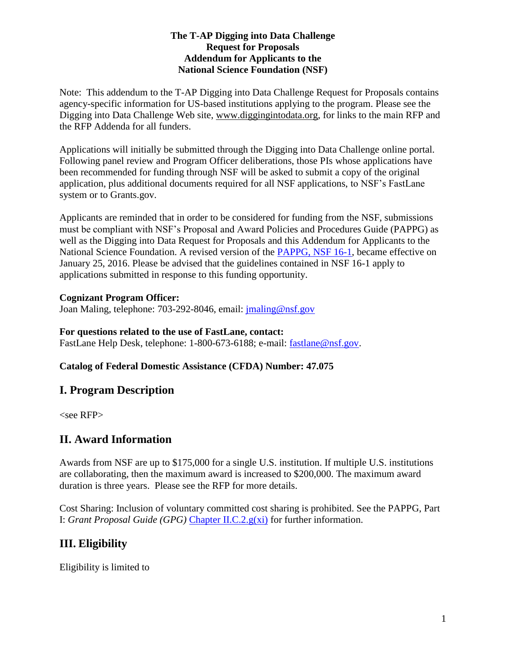#### **The T-AP Digging into Data Challenge Request for Proposals Addendum for Applicants to the National Science Foundation (NSF)**

Note: This addendum to the T-AP Digging into Data Challenge Request for Proposals contains agency-specific information for US-based institutions applying to the program. Please see the Digging into Data Challenge Web site, [www.diggingintodata.org,](http://www.diggingintodata.org/) for links to the main RFP and the RFP Addenda for all funders.

Applications will initially be submitted through the Digging into Data Challenge online portal. Following panel review and Program Officer deliberations, those PIs whose applications have been recommended for funding through NSF will be asked to submit a copy of the original application, plus additional documents required for all NSF applications, to NSF's FastLane system or to Grants.gov.

Applicants are reminded that in order to be considered for funding from the NSF, submissions must be compliant with NSF's Proposal and Award Policies and Procedures Guide (PAPPG) as well as the Digging into Data Request for Proposals and this Addendum for Applicants to the National Science Foundation. A revised version of the [PAPPG, NSF 16-1,](http://www.nsf.gov/pubs/policydocs/pappguide/nsf16001/) became effective on January 25, 2016. Please be advised that the guidelines contained in NSF 16-1 apply to applications submitted in response to this funding opportunity.

#### **Cognizant Program Officer:**

Joan Maling, telephone: 703-292-8046, email: [jmaling@nsf.gov](mailto:jmaling@nsf.gov)

#### **For questions related to the use of FastLane, contact:**

FastLane Help Desk, telephone: 1-800-673-6188; e-mail: [fastlane@nsf.gov.](mailto:fastlane@nsf.gov)

### **Catalog of Federal Domestic Assistance (CFDA) Number: 47.075**

## **I. Program Description**

<see RFP>

## **II. Award Information**

Awards from NSF are up to \$175,000 for a single U.S. institution. If multiple U.S. institutions are collaborating, then the maximum award is increased to \$200,000. The maximum award duration is three years. Please see the RFP for more details.

Cost Sharing: Inclusion of voluntary committed cost sharing is prohibited. See the PAPPG, Part I: *Grant Proposal Guide (GPG)* [Chapter II.C.2.g\(xi\)](http://www.nsf.gov/pubs/policydocs/pappguide/nsf16001/gpg_2.jsp#IIC2gxi) for further information.

# **III. Eligibility**

Eligibility is limited to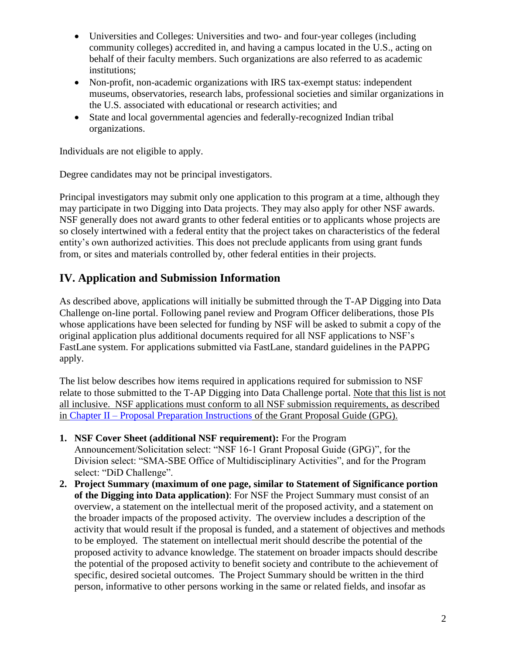- Universities and Colleges: Universities and two- and four-year colleges (including community colleges) accredited in, and having a campus located in the U.S., acting on behalf of their faculty members. Such organizations are also referred to as academic institutions;
- Non-profit, non-academic organizations with IRS tax-exempt status: independent museums, observatories, research labs, professional societies and similar organizations in the U.S. associated with educational or research activities; and
- State and local governmental agencies and federally-recognized Indian tribal organizations.

Individuals are not eligible to apply.

Degree candidates may not be principal investigators.

Principal investigators may submit only one application to this program at a time, although they may participate in two Digging into Data projects. They may also apply for other NSF awards. NSF generally does not award grants to other federal entities or to applicants whose projects are so closely intertwined with a federal entity that the project takes on characteristics of the federal entity's own authorized activities. This does not preclude applicants from using grant funds from, or sites and materials controlled by, other federal entities in their projects.

## **IV. Application and Submission Information**

As described above, applications will initially be submitted through the T-AP Digging into Data Challenge on-line portal. Following panel review and Program Officer deliberations, those PIs whose applications have been selected for funding by NSF will be asked to submit a copy of the original application plus additional documents required for all NSF applications to NSF's FastLane system. For applications submitted via FastLane, standard guidelines in the PAPPG apply.

The list below describes how items required in applications required for submission to NSF relate to those submitted to the T-AP Digging into Data Challenge portal. Note that this list is not all inclusive. NSF applications must conform to all NSF submission requirements, as described in Chapter II – [Proposal Preparation Instructions](http://www.nsf.gov/pubs/policydocs/pappguide/nsf16001/gpg_2.jsp) of the Grant Proposal Guide (GPG).

- **1. NSF Cover Sheet (additional NSF requirement):** For the Program Announcement/Solicitation select: "NSF 16-1 Grant Proposal Guide (GPG)", for the Division select: "SMA-SBE Office of Multidisciplinary Activities", and for the Program select: "DiD Challenge".
- **2. Project Summary (maximum of one page, similar to Statement of Significance portion of the Digging into Data application)**: For NSF the Project Summary must consist of an overview, a statement on the intellectual merit of the proposed activity, and a statement on the broader impacts of the proposed activity. The overview includes a description of the activity that would result if the proposal is funded, and a statement of objectives and methods to be employed. The statement on intellectual merit should describe the potential of the proposed activity to advance knowledge. The statement on broader impacts should describe the potential of the proposed activity to benefit society and contribute to the achievement of specific, desired societal outcomes. The Project Summary should be written in the third person, informative to other persons working in the same or related fields, and insofar as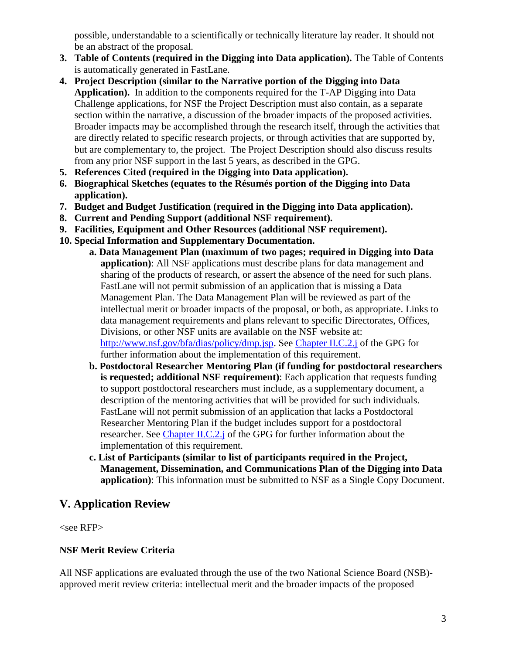possible, understandable to a scientifically or technically literature lay reader. It should not be an abstract of the proposal.

- **3. Table of Contents (required in the Digging into Data application).** The Table of Contents is automatically generated in FastLane.
- **4. Project Description (similar to the Narrative portion of the Digging into Data Application).** In addition to the components required for the T-AP Digging into Data Challenge applications, for NSF the Project Description must also contain, as a separate section within the narrative, a discussion of the broader impacts of the proposed activities. Broader impacts may be accomplished through the research itself, through the activities that are directly related to specific research projects, or through activities that are supported by, but are complementary to, the project. The Project Description should also discuss results from any prior NSF support in the last 5 years, as described in the GPG.
- **5. References Cited (required in the Digging into Data application).**
- **6. Biographical Sketches (equates to the Résumés portion of the Digging into Data application).**
- **7. Budget and Budget Justification (required in the Digging into Data application).**
- **8. Current and Pending Support (additional NSF requirement).**
- **9. Facilities, Equipment and Other Resources (additional NSF requirement).**
- **10. Special Information and Supplementary Documentation.**
	- **a. Data Management Plan (maximum of two pages; required in Digging into Data application)**: All NSF applications must describe plans for data management and sharing of the products of research, or assert the absence of the need for such plans. FastLane will not permit submission of an application that is missing a Data Management Plan. The Data Management Plan will be reviewed as part of the intellectual merit or broader impacts of the proposal, or both, as appropriate. Links to data management requirements and plans relevant to specific Directorates, Offices, Divisions, or other NSF units are available on the NSF website at: [http://www.nsf.gov/bfa/dias/policy/dmp.jsp.](http://www.nsf.gov/bfa/dias/policy/dmp.jsp) See Chapter II.C.2.j of the GPG for further information about the implementation of this requirement.
	- **b. Postdoctoral Researcher Mentoring Plan (if funding for postdoctoral researchers is requested; additional NSF requirement)**: Each application that requests funding to support postdoctoral researchers must include, as a supplementary document, a description of the mentoring activities that will be provided for such individuals. FastLane will not permit submission of an application that lacks a Postdoctoral Researcher Mentoring Plan if the budget includes support for a postdoctoral researcher. See Chapter II.C.2.j of the GPG for further information about the implementation of this requirement.
	- **c. List of Participants (similar to list of participants required in the Project, Management, Dissemination, and Communications Plan of the Digging into Data application)**: This information must be submitted to NSF as a Single Copy Document.

## **V. Application Review**

<see RFP>

### **NSF Merit Review Criteria**

All NSF applications are evaluated through the use of the two National Science Board (NSB) approved merit review criteria: intellectual merit and the broader impacts of the proposed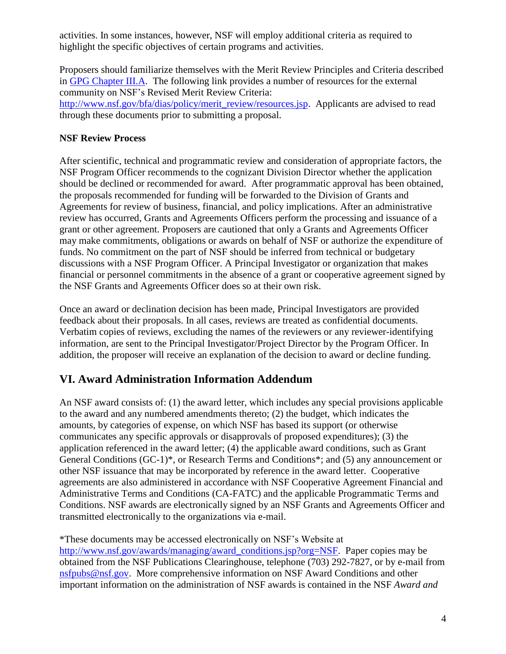activities. In some instances, however, NSF will employ additional criteria as required to highlight the specific objectives of certain programs and activities.

Proposers should familiarize themselves with the Merit Review Principles and Criteria described in GPG [Chapter](http://www.nsf.gov/pubs/policydocs/pappguide/nsf16001/gpg_3.jsp) III.A. The following link provides a number of resources for the external community on NSF's Revised Merit Review Criteria:

[http://www.nsf.gov/bfa/dias/policy/merit\\_review/resources.jsp.](http://www.nsf.gov/bfa/dias/policy/merit_review/resources.jsp) Applicants are advised to read through these documents prior to submitting a proposal.

### **NSF Review Process**

After scientific, technical and programmatic review and consideration of appropriate factors, the NSF Program Officer recommends to the cognizant Division Director whether the application should be declined or recommended for award. After programmatic approval has been obtained, the proposals recommended for funding will be forwarded to the Division of Grants and Agreements for review of business, financial, and policy implications. After an administrative review has occurred, Grants and Agreements Officers perform the processing and issuance of a grant or other agreement. Proposers are cautioned that only a Grants and Agreements Officer may make commitments, obligations or awards on behalf of NSF or authorize the expenditure of funds. No commitment on the part of NSF should be inferred from technical or budgetary discussions with a NSF Program Officer. A Principal Investigator or organization that makes financial or personnel commitments in the absence of a grant or cooperative agreement signed by the NSF Grants and Agreements Officer does so at their own risk.

Once an award or declination decision has been made, Principal Investigators are provided feedback about their proposals. In all cases, reviews are treated as confidential documents. Verbatim copies of reviews, excluding the names of the reviewers or any reviewer-identifying information, are sent to the Principal Investigator/Project Director by the Program Officer. In addition, the proposer will receive an explanation of the decision to award or decline funding.

# **VI. Award Administration Information Addendum**

An NSF award consists of: (1) the award letter, which includes any special provisions applicable to the award and any numbered amendments thereto; (2) the budget, which indicates the amounts, by categories of expense, on which NSF has based its support (or otherwise communicates any specific approvals or disapprovals of proposed expenditures); (3) the application referenced in the award letter; (4) the applicable award conditions, such as Grant General Conditions (GC-1)\*, or Research Terms and Conditions\*; and (5) any announcement or other NSF issuance that may be incorporated by reference in the award letter. Cooperative agreements are also administered in accordance with NSF Cooperative Agreement Financial and Administrative Terms and Conditions (CA-FATC) and the applicable Programmatic Terms and Conditions. NSF awards are electronically signed by an NSF Grants and Agreements Officer and transmitted electronically to the organizations via e-mail.

\*These documents may be accessed electronically on NSF's Website at [http://www.nsf.gov/awards/managing/award\\_conditions.jsp?org=NSF.](http://www.nsf.gov/awards/managing/award_conditions.jsp?org=NSF) Paper copies may be obtained from the NSF Publications Clearinghouse, telephone (703) 292-7827, or by e-mail from [nsfpubs@nsf.gov.](mailto:nsfpubs@nsf.gov) More comprehensive information on NSF Award Conditions and other important information on the administration of NSF awards is contained in the NSF *Award and*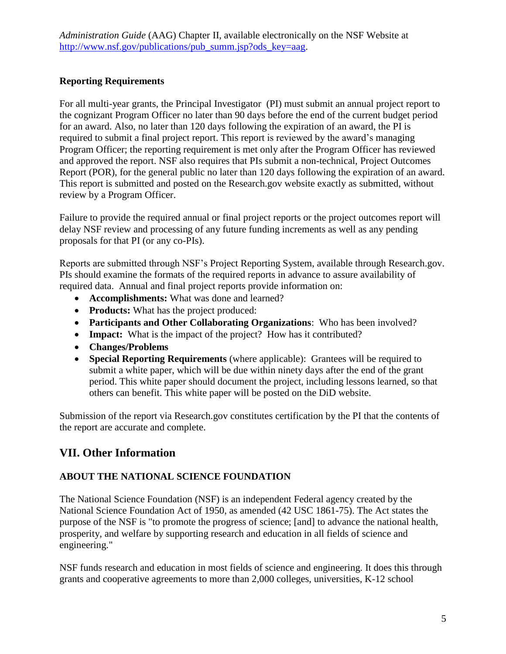*Administration Guide* (AAG) Chapter II, available electronically on the NSF Website at [http://www.nsf.gov/publications/pub\\_summ.jsp?ods\\_key=aag.](http://www.nsf.gov/publications/pub_summ.jsp?ods_key=aag)

### **Reporting Requirements**

For all multi-year grants, the Principal Investigator (PI) must submit an annual project report to the cognizant Program Officer no later than 90 days before the end of the current budget period for an award. Also, no later than 120 days following the expiration of an award, the PI is required to submit a final project report. This report is reviewed by the award's managing Program Officer; the reporting requirement is met only after the Program Officer has reviewed and approved the report. NSF also requires that PIs submit a non-technical, Project Outcomes Report (POR), for the general public no later than 120 days following the expiration of an award. This report is submitted and posted on the Research.gov website exactly as submitted, without review by a Program Officer.

Failure to provide the required annual or final project reports or the project outcomes report will delay NSF review and processing of any future funding increments as well as any pending proposals for that PI (or any co-PIs).

Reports are submitted through NSF's Project Reporting System, available through Research.gov. PIs should examine the formats of the required reports in advance to assure availability of required data. Annual and final project reports provide information on:

- **Accomplishments:** What was done and learned?
- **Products:** What has the project produced:
- **Participants and Other Collaborating Organizations**: Who has been involved?
- **Impact:** What is the impact of the project? How has it contributed?
- **Changes/Problems**
- **Special Reporting Requirements** (where applicable): Grantees will be required to submit a white paper, which will be due within ninety days after the end of the grant period. This white paper should document the project, including lessons learned, so that others can benefit. This white paper will be posted on the DiD website.

Submission of the report via Research.gov constitutes certification by the PI that the contents of the report are accurate and complete.

# **VII. Other Information**

### **ABOUT THE NATIONAL SCIENCE FOUNDATION**

The National Science Foundation (NSF) is an independent Federal agency created by the National Science Foundation Act of 1950, as amended (42 USC 1861-75). The Act states the purpose of the NSF is "to promote the progress of science; [and] to advance the national health, prosperity, and welfare by supporting research and education in all fields of science and engineering."

NSF funds research and education in most fields of science and engineering. It does this through grants and cooperative agreements to more than 2,000 colleges, universities, K-12 school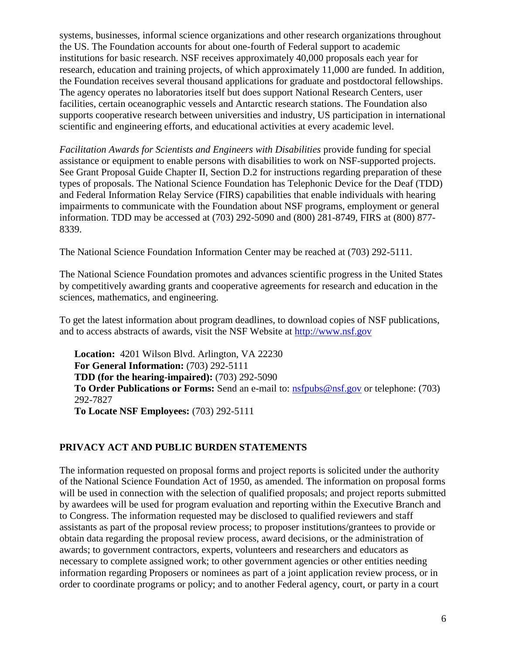systems, businesses, informal science organizations and other research organizations throughout the US. The Foundation accounts for about one-fourth of Federal support to academic institutions for basic research. NSF receives approximately 40,000 proposals each year for research, education and training projects, of which approximately 11,000 are funded. In addition, the Foundation receives several thousand applications for graduate and postdoctoral fellowships. The agency operates no laboratories itself but does support National Research Centers, user facilities, certain oceanographic vessels and Antarctic research stations. The Foundation also supports cooperative research between universities and industry, US participation in international scientific and engineering efforts, and educational activities at every academic level.

*Facilitation Awards for Scientists and Engineers with Disabilities* provide funding for special assistance or equipment to enable persons with disabilities to work on NSF-supported projects. See Grant Proposal Guide Chapter II, Section D.2 for instructions regarding preparation of these types of proposals. The National Science Foundation has Telephonic Device for the Deaf (TDD) and Federal Information Relay Service (FIRS) capabilities that enable individuals with hearing impairments to communicate with the Foundation about NSF programs, employment or general information. TDD may be accessed at (703) 292-5090 and (800) 281-8749, FIRS at (800) 877- 8339.

The National Science Foundation Information Center may be reached at (703) 292-5111.

The National Science Foundation promotes and advances scientific progress in the United States by competitively awarding grants and cooperative agreements for research and education in the sciences, mathematics, and engineering.

To get the latest information about program deadlines, to download copies of NSF publications, and to access abstracts of awards, visit the NSF Website at [http://www.nsf.gov](http://www.nsf.gov/)

**Location:** 4201 Wilson Blvd. Arlington, VA 22230 **For General Information:** (703) 292-5111 **TDD (for the hearing-impaired):** (703) 292-5090 **To Order Publications or Forms:** Send an e-mail to: [nsfpubs@nsf.gov](mailto:nsfpubs@nsf.gov) or telephone: (703) 292-7827 **To Locate NSF Employees:** (703) 292-5111

#### **PRIVACY ACT AND PUBLIC BURDEN STATEMENTS**

The information requested on proposal forms and project reports is solicited under the authority of the National Science Foundation Act of 1950, as amended. The information on proposal forms will be used in connection with the selection of qualified proposals; and project reports submitted by awardees will be used for program evaluation and reporting within the Executive Branch and to Congress. The information requested may be disclosed to qualified reviewers and staff assistants as part of the proposal review process; to proposer institutions/grantees to provide or obtain data regarding the proposal review process, award decisions, or the administration of awards; to government contractors, experts, volunteers and researchers and educators as necessary to complete assigned work; to other government agencies or other entities needing information regarding Proposers or nominees as part of a joint application review process, or in order to coordinate programs or policy; and to another Federal agency, court, or party in a court